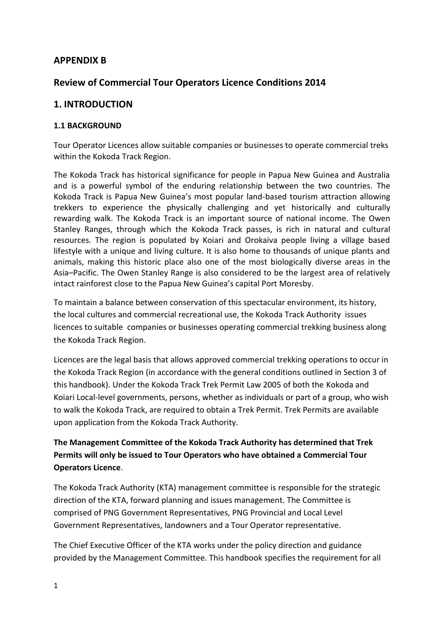# **APPENDIX B**

# **Review of Commercial Tour Operators Licence Conditions 2014**

## **1. INTRODUCTION**

#### **1.1 BACKGROUND**

Tour Operator Licences allow suitable companies or businesses to operate commercial treks within the Kokoda Track Region.

The Kokoda Track has historical significance for people in Papua New Guinea and Australia and is a powerful symbol of the enduring relationship between the two countries. The Kokoda Track is Papua New Guinea's most popular land-based tourism attraction allowing trekkers to experience the physically challenging and yet historically and culturally rewarding walk. The Kokoda Track is an important source of national income. The Owen Stanley Ranges, through which the Kokoda Track passes, is rich in natural and cultural resources. The region is populated by Koiari and Orokaiva people living a village based lifestyle with a unique and living culture. It is also home to thousands of unique plants and animals, making this historic place also one of the most biologically diverse areas in the Asia–Pacific. The Owen Stanley Range is also considered to be the largest area of relatively intact rainforest close to the Papua New Guinea's capital Port Moresby.

To maintain a balance between conservation of this spectacular environment, its history, the local cultures and commercial recreational use, the Kokoda Track Authority issues licences to suitable companies or businesses operating commercial trekking business along the Kokoda Track Region.

Licences are the legal basis that allows approved commercial trekking operations to occur in the Kokoda Track Region (in accordance with the general conditions outlined in Section 3 of this handbook). Under the Kokoda Track Trek Permit Law 2005 of both the Kokoda and Koiari Local-level governments, persons, whether as individuals or part of a group, who wish to walk the Kokoda Track, are required to obtain a Trek Permit. Trek Permits are available upon application from the Kokoda Track Authority.

# **The Management Committee of the Kokoda Track Authority has determined that Trek Permits will only be issued to Tour Operators who have obtained a Commercial Tour Operators Licence**.

The Kokoda Track Authority (KTA) management committee is responsible for the strategic direction of the KTA, forward planning and issues management. The Committee is comprised of PNG Government Representatives, PNG Provincial and Local Level Government Representatives, landowners and a Tour Operator representative.

The Chief Executive Officer of the KTA works under the policy direction and guidance provided by the Management Committee. This handbook specifies the requirement for all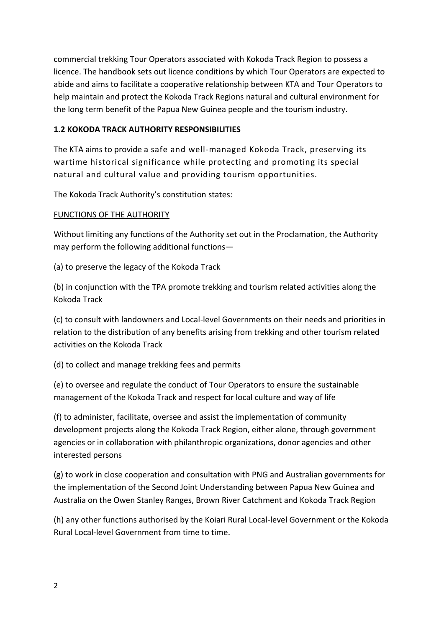commercial trekking Tour Operators associated with Kokoda Track Region to possess a licence. The handbook sets out licence conditions by which Tour Operators are expected to abide and aims to facilitate a cooperative relationship between KTA and Tour Operators to help maintain and protect the Kokoda Track Regions natural and cultural environment for the long term benefit of the Papua New Guinea people and the tourism industry.

## **1.2 KOKODA TRACK AUTHORITY RESPONSIBILITIES**

The KTA aims to provide a safe and well-managed Kokoda Track, preserving its wartime historical significance while protecting and promoting its special natural and cultural value and providing tourism opportunities.

The Kokoda Track Authority's constitution states:

## FUNCTIONS OF THE AUTHORITY

Without limiting any functions of the Authority set out in the Proclamation, the Authority may perform the following additional functions—

(a) to preserve the legacy of the Kokoda Track

(b) in conjunction with the TPA promote trekking and tourism related activities along the Kokoda Track

(c) to consult with landowners and Local-level Governments on their needs and priorities in relation to the distribution of any benefits arising from trekking and other tourism related activities on the Kokoda Track

(d) to collect and manage trekking fees and permits

(e) to oversee and regulate the conduct of Tour Operators to ensure the sustainable management of the Kokoda Track and respect for local culture and way of life

(f) to administer, facilitate, oversee and assist the implementation of community development projects along the Kokoda Track Region, either alone, through government agencies or in collaboration with philanthropic organizations, donor agencies and other interested persons

(g) to work in close cooperation and consultation with PNG and Australian governments for the implementation of the Second Joint Understanding between Papua New Guinea and Australia on the Owen Stanley Ranges, Brown River Catchment and Kokoda Track Region

(h) any other functions authorised by the Koiari Rural Local-level Government or the Kokoda Rural Local-level Government from time to time.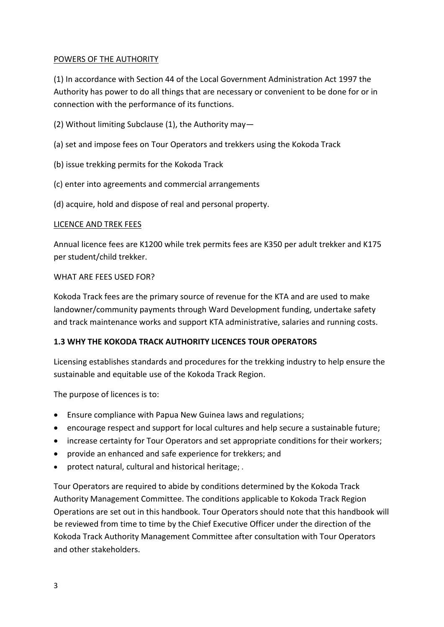### POWERS OF THE AUTHORITY

(1) In accordance with Section 44 of the Local Government Administration Act 1997 the Authority has power to do all things that are necessary or convenient to be done for or in connection with the performance of its functions.

- (2) Without limiting Subclause (1), the Authority may—
- (a) set and impose fees on Tour Operators and trekkers using the Kokoda Track
- (b) issue trekking permits for the Kokoda Track
- (c) enter into agreements and commercial arrangements
- (d) acquire, hold and dispose of real and personal property.

#### LICENCE AND TREK FEES

Annual licence fees are K1200 while trek permits fees are K350 per adult trekker and K175 per student/child trekker.

#### WHAT ARE FEES USED FOR?

Kokoda Track fees are the primary source of revenue for the KTA and are used to make landowner/community payments through Ward Development funding, undertake safety and track maintenance works and support KTA administrative, salaries and running costs.

#### **1.3 WHY THE KOKODA TRACK AUTHORITY LICENCES TOUR OPERATORS**

Licensing establishes standards and procedures for the trekking industry to help ensure the sustainable and equitable use of the Kokoda Track Region.

The purpose of licences is to:

- Ensure compliance with Papua New Guinea laws and regulations;
- encourage respect and support for local cultures and help secure a sustainable future;
- increase certainty for Tour Operators and set appropriate conditions for their workers;
- provide an enhanced and safe experience for trekkers; and
- protect natural, cultural and historical heritage; .

Tour Operators are required to abide by conditions determined by the Kokoda Track Authority Management Committee. The conditions applicable to Kokoda Track Region Operations are set out in this handbook. Tour Operators should note that this handbook will be reviewed from time to time by the Chief Executive Officer under the direction of the Kokoda Track Authority Management Committee after consultation with Tour Operators and other stakeholders.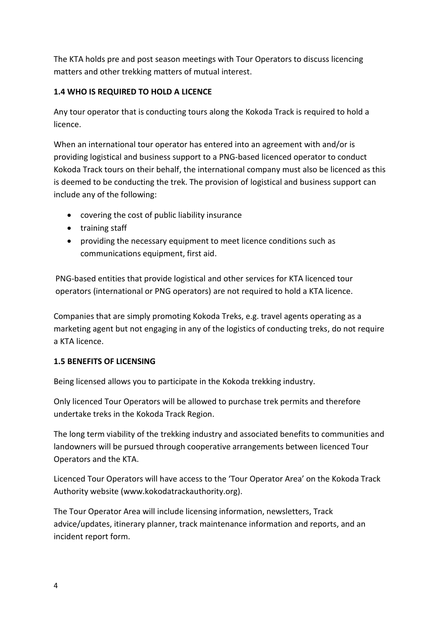The KTA holds pre and post season meetings with Tour Operators to discuss licencing matters and other trekking matters of mutual interest.

## **1.4 WHO IS REQUIRED TO HOLD A LICENCE**

Any tour operator that is conducting tours along the Kokoda Track is required to hold a licence.

When an international tour operator has entered into an agreement with and/or is providing logistical and business support to a PNG-based licenced operator to conduct Kokoda Track tours on their behalf, the international company must also be licenced as this is deemed to be conducting the trek. The provision of logistical and business support can include any of the following:

- covering the cost of public liability insurance
- training staff
- providing the necessary equipment to meet licence conditions such as communications equipment, first aid.

PNG-based entities that provide logistical and other services for KTA licenced tour operators (international or PNG operators) are not required to hold a KTA licence.

Companies that are simply promoting Kokoda Treks, e.g. travel agents operating as a marketing agent but not engaging in any of the logistics of conducting treks, do not require a KTA licence.

# **1.5 BENEFITS OF LICENSING**

Being licensed allows you to participate in the Kokoda trekking industry.

Only licenced Tour Operators will be allowed to purchase trek permits and therefore undertake treks in the Kokoda Track Region.

The long term viability of the trekking industry and associated benefits to communities and landowners will be pursued through cooperative arrangements between licenced Tour Operators and the KTA.

Licenced Tour Operators will have access to the 'Tour Operator Area' on the Kokoda Track Authority website (www.kokodatrackauthority.org).

The Tour Operator Area will include licensing information, newsletters, Track advice/updates, itinerary planner, track maintenance information and reports, and an incident report form.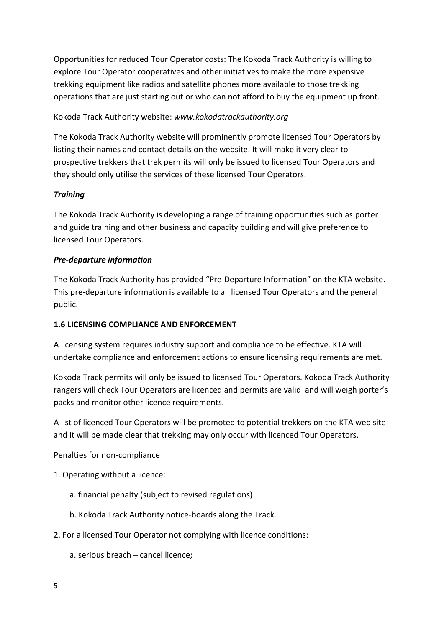Opportunities for reduced Tour Operator costs: The Kokoda Track Authority is willing to explore Tour Operator cooperatives and other initiatives to make the more expensive trekking equipment like radios and satellite phones more available to those trekking operations that are just starting out or who can not afford to buy the equipment up front.

# Kokoda Track Authority website: *www.kokodatrackauthority.org*

The Kokoda Track Authority website will prominently promote licensed Tour Operators by listing their names and contact details on the website. It will make it very clear to prospective trekkers that trek permits will only be issued to licensed Tour Operators and they should only utilise the services of these licensed Tour Operators.

#### *Training*

The Kokoda Track Authority is developing a range of training opportunities such as porter and guide training and other business and capacity building and will give preference to licensed Tour Operators.

#### *Pre-departure information*

The Kokoda Track Authority has provided "Pre-Departure Information" on the KTA website. This pre-departure information is available to all licensed Tour Operators and the general public.

#### **1.6 LICENSING COMPLIANCE AND ENFORCEMENT**

A licensing system requires industry support and compliance to be effective. KTA will undertake compliance and enforcement actions to ensure licensing requirements are met.

Kokoda Track permits will only be issued to licensed Tour Operators. Kokoda Track Authority rangers will check Tour Operators are licenced and permits are valid and will weigh porter's packs and monitor other licence requirements.

A list of licenced Tour Operators will be promoted to potential trekkers on the KTA web site and it will be made clear that trekking may only occur with licenced Tour Operators.

Penalties for non-compliance

- 1. Operating without a licence:
	- a. financial penalty (subject to revised regulations)
	- b. Kokoda Track Authority notice-boards along the Track.
- 2. For a licensed Tour Operator not complying with licence conditions:

a. serious breach – cancel licence;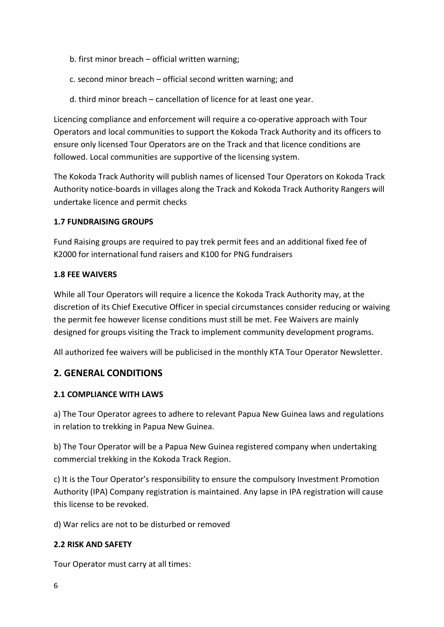- b. first minor breach official written warning;
- c. second minor breach official second written warning; and
- d. third minor breach cancellation of licence for at least one year.

Licencing compliance and enforcement will require a co-operative approach with Tour Operators and local communities to support the Kokoda Track Authority and its officers to ensure only licensed Tour Operators are on the Track and that licence conditions are followed. Local communities are supportive of the licensing system.

The Kokoda Track Authority will publish names of licensed Tour Operators on Kokoda Track Authority notice-boards in villages along the Track and Kokoda Track Authority Rangers will undertake licence and permit checks

#### **1.7 FUNDRAISING GROUPS**

Fund Raising groups are required to pay trek permit fees and an additional fixed fee of K2000 for international fund raisers and K100 for PNG fundraisers

#### **1.8 FEE WAIVERS**

While all Tour Operators will require a licence the Kokoda Track Authority may, at the discretion of its Chief Executive Officer in special circumstances consider reducing or waiving the permit fee however license conditions must still be met. Fee Waivers are mainly designed for groups visiting the Track to implement community development programs.

All authorized fee waivers will be publicised in the monthly KTA Tour Operator Newsletter.

# **2. GENERAL CONDITIONS**

#### **2.1 COMPLIANCE WITH LAWS**

a) The Tour Operator agrees to adhere to relevant Papua New Guinea laws and regulations in relation to trekking in Papua New Guinea.

b) The Tour Operator will be a Papua New Guinea registered company when undertaking commercial trekking in the Kokoda Track Region.

c) It is the Tour Operator's responsibility to ensure the compulsory Investment Promotion Authority (IPA) Company registration is maintained. Any lapse in IPA registration will cause this license to be revoked.

d) War relics are not to be disturbed or removed

# **2.2 RISK AND SAFETY**

Tour Operator must carry at all times: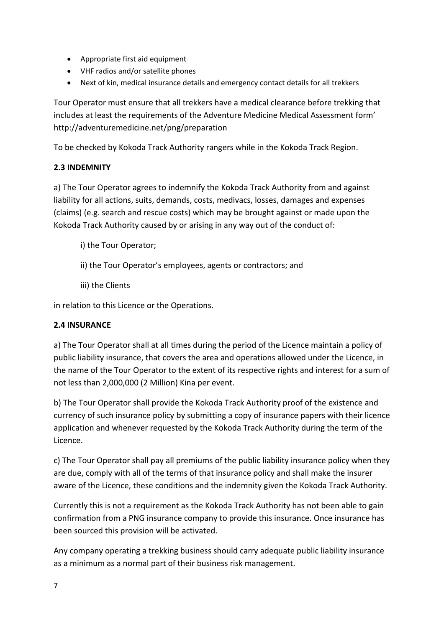- Appropriate first aid equipment
- VHF radios and/or satellite phones
- Next of kin, medical insurance details and emergency contact details for all trekkers

Tour Operator must ensure that all trekkers have a medical clearance before trekking that includes at least the requirements of the Adventure Medicine Medical Assessment form' http://adventuremedicine.net/png/preparation

To be checked by Kokoda Track Authority rangers while in the Kokoda Track Region.

## **2.3 INDEMNITY**

a) The Tour Operator agrees to indemnify the Kokoda Track Authority from and against liability for all actions, suits, demands, costs, medivacs, losses, damages and expenses (claims) (e.g. search and rescue costs) which may be brought against or made upon the Kokoda Track Authority caused by or arising in any way out of the conduct of:

- i) the Tour Operator;
- ii) the Tour Operator's employees, agents or contractors; and
- iii) the Clients

in relation to this Licence or the Operations.

#### **2.4 INSURANCE**

a) The Tour Operator shall at all times during the period of the Licence maintain a policy of public liability insurance, that covers the area and operations allowed under the Licence, in the name of the Tour Operator to the extent of its respective rights and interest for a sum of not less than 2,000,000 (2 Million) Kina per event.

b) The Tour Operator shall provide the Kokoda Track Authority proof of the existence and currency of such insurance policy by submitting a copy of insurance papers with their licence application and whenever requested by the Kokoda Track Authority during the term of the Licence.

c) The Tour Operator shall pay all premiums of the public liability insurance policy when they are due, comply with all of the terms of that insurance policy and shall make the insurer aware of the Licence, these conditions and the indemnity given the Kokoda Track Authority.

Currently this is not a requirement as the Kokoda Track Authority has not been able to gain confirmation from a PNG insurance company to provide this insurance. Once insurance has been sourced this provision will be activated.

Any company operating a trekking business should carry adequate public liability insurance as a minimum as a normal part of their business risk management.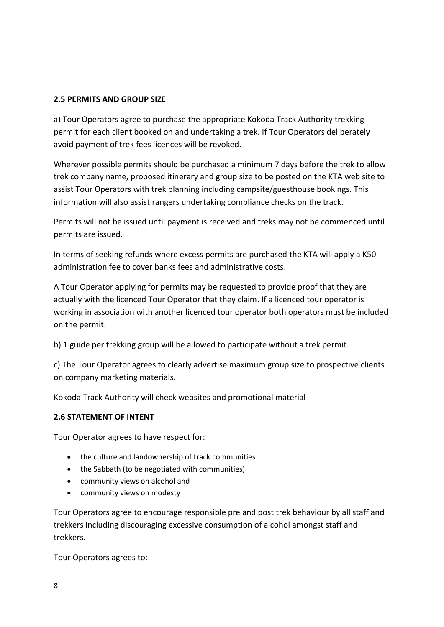#### **2.5 PERMITS AND GROUP SIZE**

a) Tour Operators agree to purchase the appropriate Kokoda Track Authority trekking permit for each client booked on and undertaking a trek. If Tour Operators deliberately avoid payment of trek fees licences will be revoked.

Wherever possible permits should be purchased a minimum 7 days before the trek to allow trek company name, proposed itinerary and group size to be posted on the KTA web site to assist Tour Operators with trek planning including campsite/guesthouse bookings. This information will also assist rangers undertaking compliance checks on the track.

Permits will not be issued until payment is received and treks may not be commenced until permits are issued.

In terms of seeking refunds where excess permits are purchased the KTA will apply a K50 administration fee to cover banks fees and administrative costs.

A Tour Operator applying for permits may be requested to provide proof that they are actually with the licenced Tour Operator that they claim. If a licenced tour operator is working in association with another licenced tour operator both operators must be included on the permit.

b) 1 guide per trekking group will be allowed to participate without a trek permit.

c) The Tour Operator agrees to clearly advertise maximum group size to prospective clients on company marketing materials.

Kokoda Track Authority will check websites and promotional material

#### **2.6 STATEMENT OF INTENT**

Tour Operator agrees to have respect for:

- the culture and landownership of track communities
- the Sabbath (to be negotiated with communities)
- community views on alcohol and
- community views on modesty

Tour Operators agree to encourage responsible pre and post trek behaviour by all staff and trekkers including discouraging excessive consumption of alcohol amongst staff and trekkers.

Tour Operators agrees to: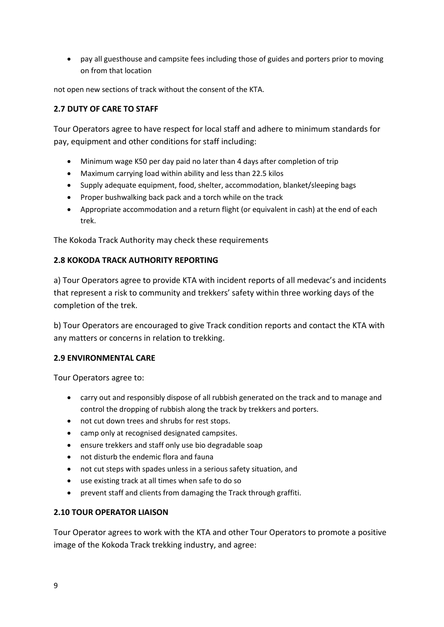pay all guesthouse and campsite fees including those of guides and porters prior to moving on from that location

not open new sections of track without the consent of the KTA.

### **2.7 DUTY OF CARE TO STAFF**

Tour Operators agree to have respect for local staff and adhere to minimum standards for pay, equipment and other conditions for staff including:

- Minimum wage K50 per day paid no later than 4 days after completion of trip
- Maximum carrying load within ability and less than 22.5 kilos
- Supply adequate equipment, food, shelter, accommodation, blanket/sleeping bags
- Proper bushwalking back pack and a torch while on the track
- Appropriate accommodation and a return flight (or equivalent in cash) at the end of each trek.

The Kokoda Track Authority may check these requirements

#### **2.8 KOKODA TRACK AUTHORITY REPORTING**

a) Tour Operators agree to provide KTA with incident reports of all medevac's and incidents that represent a risk to community and trekkers' safety within three working days of the completion of the trek.

b) Tour Operators are encouraged to give Track condition reports and contact the KTA with any matters or concerns in relation to trekking.

#### **2.9 ENVIRONMENTAL CARE**

Tour Operators agree to:

- carry out and responsibly dispose of all rubbish generated on the track and to manage and control the dropping of rubbish along the track by trekkers and porters.
- not cut down trees and shrubs for rest stops.
- camp only at recognised designated campsites.
- ensure trekkers and staff only use bio degradable soap
- not disturb the endemic flora and fauna
- not cut steps with spades unless in a serious safety situation, and
- use existing track at all times when safe to do so
- prevent staff and clients from damaging the Track through graffiti.

#### **2.10 TOUR OPERATOR LIAISON**

Tour Operator agrees to work with the KTA and other Tour Operators to promote a positive image of the Kokoda Track trekking industry, and agree: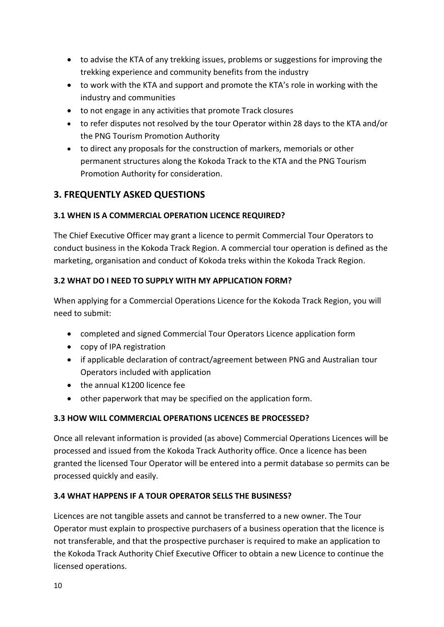- to advise the KTA of any trekking issues, problems or suggestions for improving the trekking experience and community benefits from the industry
- to work with the KTA and support and promote the KTA's role in working with the industry and communities
- to not engage in any activities that promote Track closures
- to refer disputes not resolved by the tour Operator within 28 days to the KTA and/or the PNG Tourism Promotion Authority
- to direct any proposals for the construction of markers, memorials or other permanent structures along the Kokoda Track to the KTA and the PNG Tourism Promotion Authority for consideration.

# **3. FREQUENTLY ASKED QUESTIONS**

## **3.1 WHEN IS A COMMERCIAL OPERATION LICENCE REQUIRED?**

The Chief Executive Officer may grant a licence to permit Commercial Tour Operators to conduct business in the Kokoda Track Region. A commercial tour operation is defined as the marketing, organisation and conduct of Kokoda treks within the Kokoda Track Region.

## **3.2 WHAT DO I NEED TO SUPPLY WITH MY APPLICATION FORM?**

When applying for a Commercial Operations Licence for the Kokoda Track Region, you will need to submit:

- completed and signed Commercial Tour Operators Licence application form
- copy of IPA registration
- if applicable declaration of contract/agreement between PNG and Australian tour Operators included with application
- the annual K1200 licence fee
- other paperwork that may be specified on the application form.

# **3.3 HOW WILL COMMERCIAL OPERATIONS LICENCES BE PROCESSED?**

Once all relevant information is provided (as above) Commercial Operations Licences will be processed and issued from the Kokoda Track Authority office. Once a licence has been granted the licensed Tour Operator will be entered into a permit database so permits can be processed quickly and easily.

#### **3.4 WHAT HAPPENS IF A TOUR OPERATOR SELLS THE BUSINESS?**

Licences are not tangible assets and cannot be transferred to a new owner. The Tour Operator must explain to prospective purchasers of a business operation that the licence is not transferable, and that the prospective purchaser is required to make an application to the Kokoda Track Authority Chief Executive Officer to obtain a new Licence to continue the licensed operations.